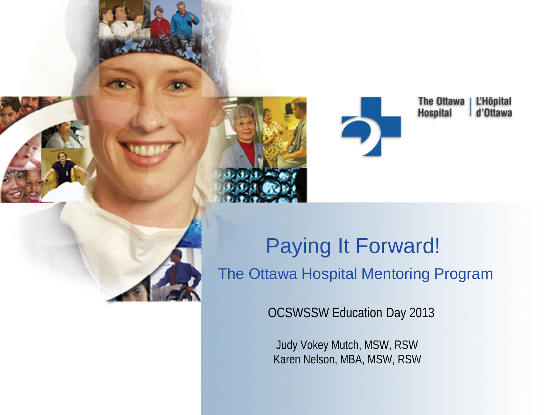

The Ottawa **L'Hôpital Hospital** d'Ottawa

 Paying It Forward! The Ottawa Hospital Mentoring Program

OCSWSSW Education Day 2013

 Judy Vokey Mutch, MSW, RSW Karen Nelson, MBA, MSW, RSW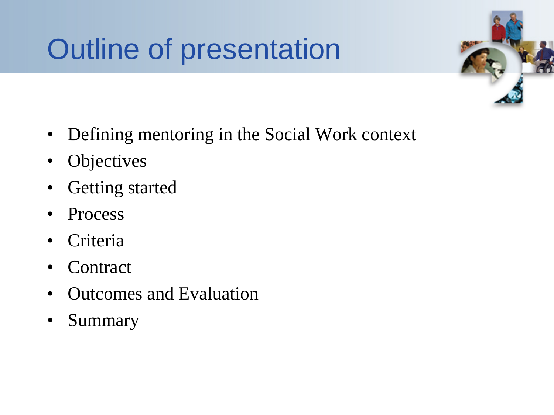## Outline of presentation



- Defining mentoring in the Social Work context
- Objectives
- Getting started
- Process
- **Criteria**
- **Contract**
- Outcomes and Evaluation
- Summary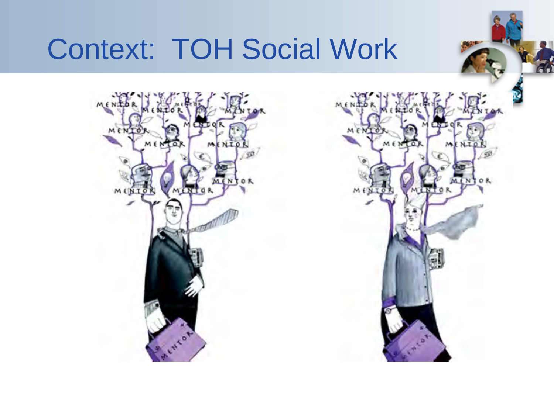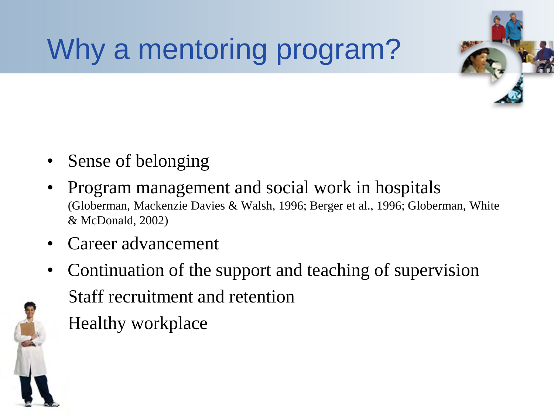## Why a mentoring program?



- Sense of belonging
- Program management and social work in hospitals (Globerman, Mackenzie Davies & Walsh, 1996; Berger et al., 1996; Globerman, White & McDonald, 2002)
- Career advancement
- Continuation of the support and teaching of supervision • Staff recruitment and retention • Healthy workplace

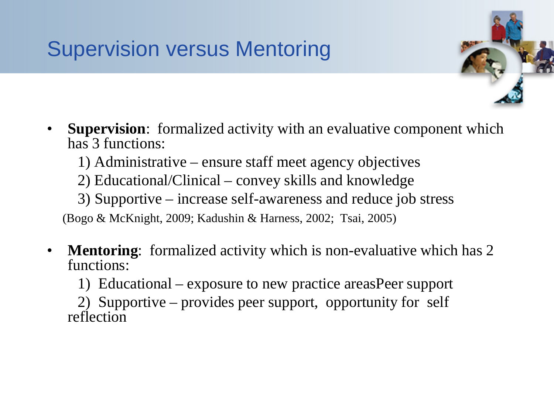#### Supervision versus Mentoring

- 
- **Supervision:** formalized activity with an evaluative component which has 3 functions:
	- 1) Administrative ensure staff meet agency objectives
	- 2) Educational/Clinical convey skills and knowledge
	- 3) Supportive increase self-awareness and reduce job stress

(Bogo & McKnight, 2009; Kadushin & Harness, 2002; Tsai, 2005)

- **Mentoring**: formalized activity which is non-evaluative which has 2 functions:
	- 1) Educational exposure to new practice areasPeer support

 2) Supportive – provides peer support, opportunity for self reflection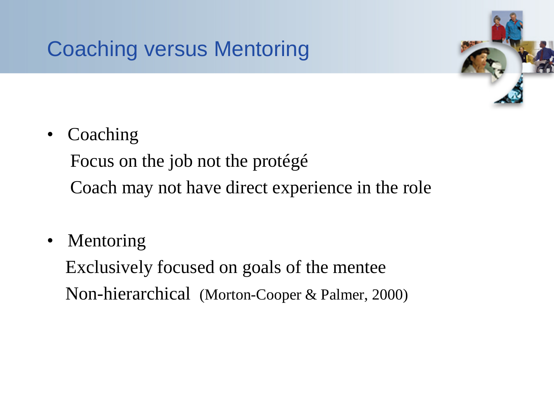#### Coaching versus Mentoring



**Coaching** 

Focus on the job not the protégé

Coach may not have direct experience in the role

• Mentoring

 Exclusively focused on goals of the mentee Non-hierarchical (Morton-Cooper & Palmer, 2000)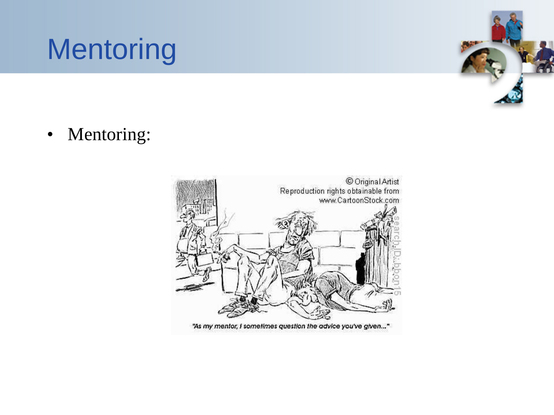## **Mentoring**



• Mentoring:

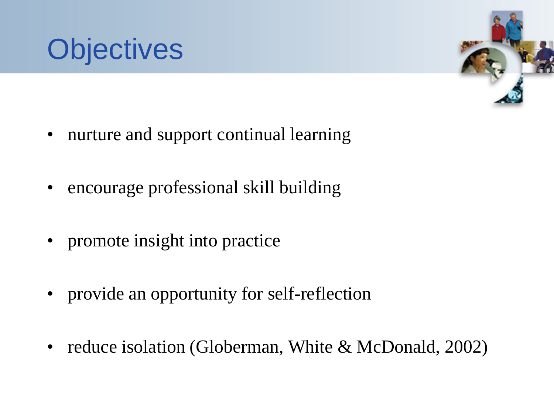



- nurture and support continual learning
- encourage professional skill building
- promote insight into practice
- provide an opportunity for self-reflection
- reduce isolation (Globerman, White & McDonald, 2002)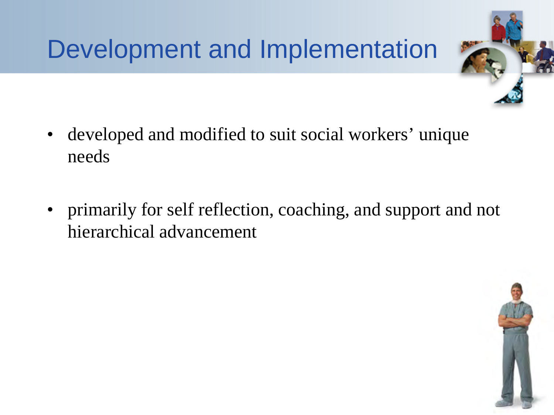#### Development and Implementation



- developed and modified to suit social workers' unique needs
- primarily for self reflection, coaching, and support and not hierarchical advancement

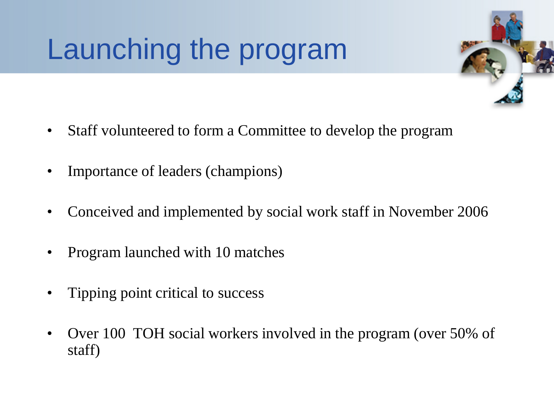## Launching the program

- 
- Staff volunteered to form a Committee to develop the program
- Importance of leaders (champions)
- Conceived and implemented by social work staff in November 2006
- Program launched with 10 matches
- Tipping point critical to success
- Over 100 TOH social workers involved in the program (over 50% of staff)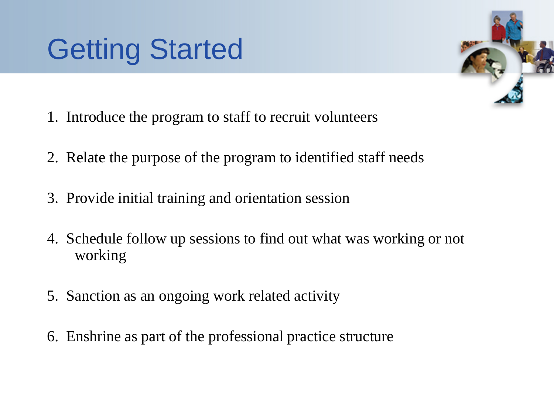### Getting Started

- 1. Introduce the program to staff to recruit volunteers
- 2. Relate the purpose of the program to identified staff needs
- 3. Provide initial training and orientation session
- 4. Schedule follow up sessions to find out what was working or not working
- 5. Sanction as an ongoing work related activity
- 6. Enshrine as part of the professional practice structure

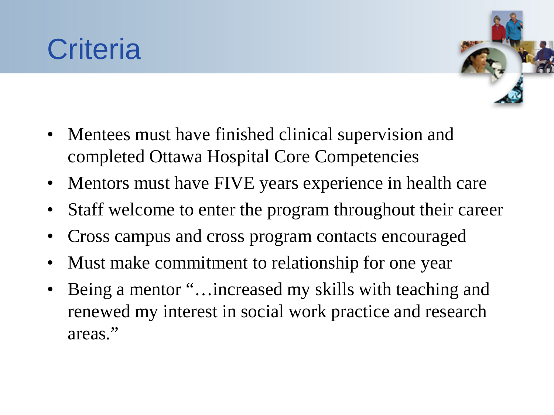#### **Criteria**



- Mentees must have finished clinical supervision and completed Ottawa Hospital Core Competencies
- Mentors must have FIVE years experience in health care
- Staff welcome to enter the program throughout their career
- Cross campus and cross program contacts encouraged
- Must make commitment to relationship for one year
- Being a mentor "... increased my skills with teaching and renewed my interest in social work practice and research areas."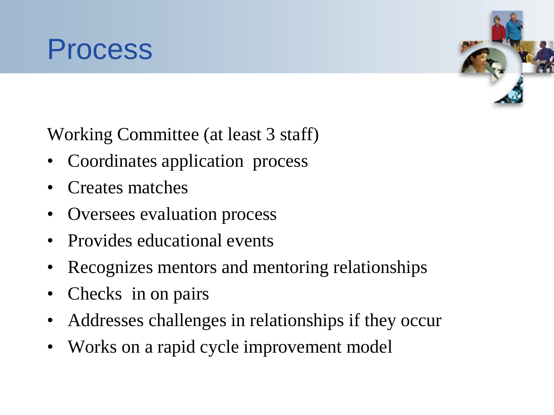



Working Committee (at least 3 staff)

- Coordinates application process
- Creates matches
- Oversees evaluation process
- Provides educational events
- Recognizes mentors and mentoring relationships
- Checks in on pairs
- Addresses challenges in relationships if they occur
- Works on a rapid cycle improvement model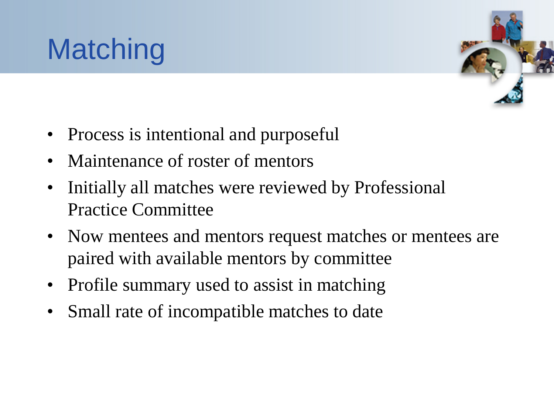



- Process is intentional and purposeful
- Maintenance of roster of mentors
- Initially all matches were reviewed by Professional Practice Committee
- Now mentees and mentors request matches or mentees are paired with available mentors by committee
- Profile summary used to assist in matching
- Small rate of incompatible matches to date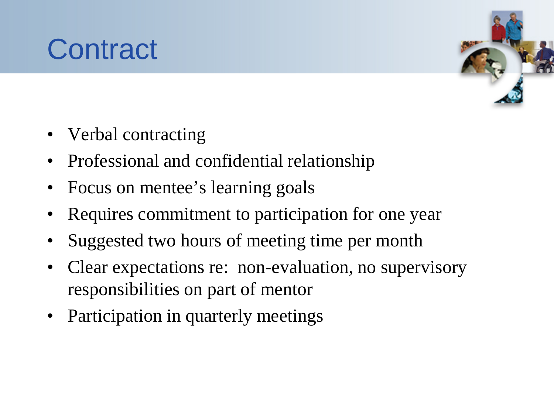### **Contract**



- Verbal contracting
- Professional and confidential relationship
- Focus on mentee's learning goals
- Requires commitment to participation for one year
- Suggested two hours of meeting time per month
- Clear expectations re: non-evaluation, no supervisory responsibilities on part of mentor
- Participation in quarterly meetings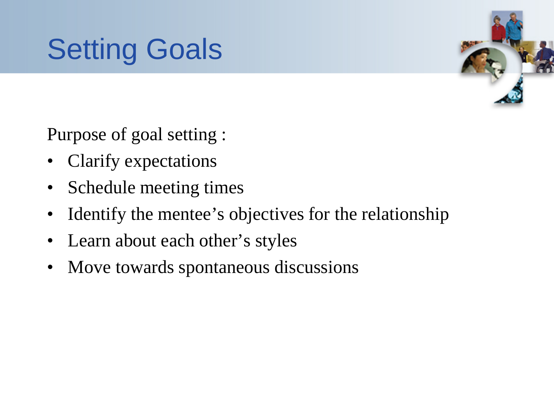



Purpose of goal setting :

- Clarify expectations
- Schedule meeting times
- Identify the mentee's objectives for the relationship
- Learn about each other's styles
- Move towards spontaneous discussions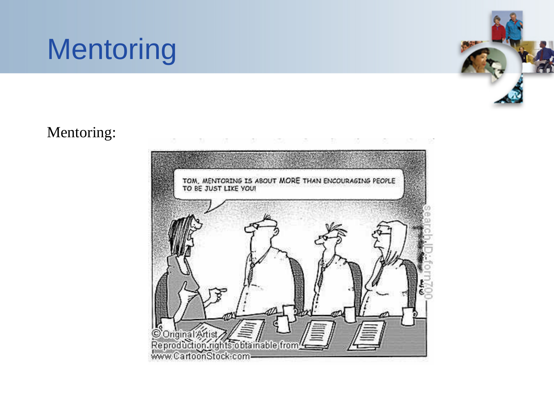



#### Mentoring:

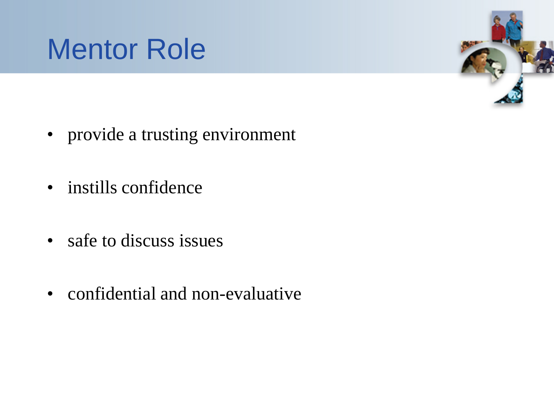



- provide a trusting environment
- instills confidence
- safe to discuss issues
- confidential and non-evaluative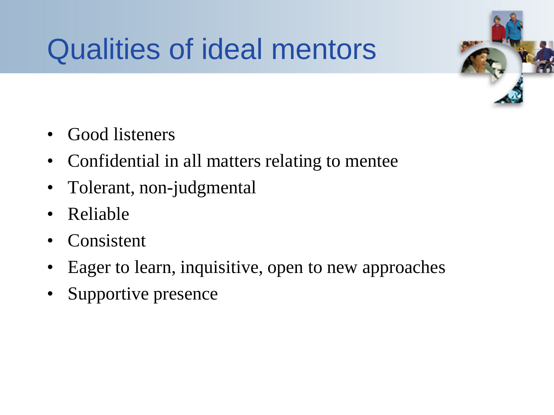## Qualities of ideal mentors



- Good listeners
- Confidential in all matters relating to mentee
- Tolerant, non-judgmental
- Reliable
- Consistent
- Eager to learn, inquisitive, open to new approaches
- Supportive presence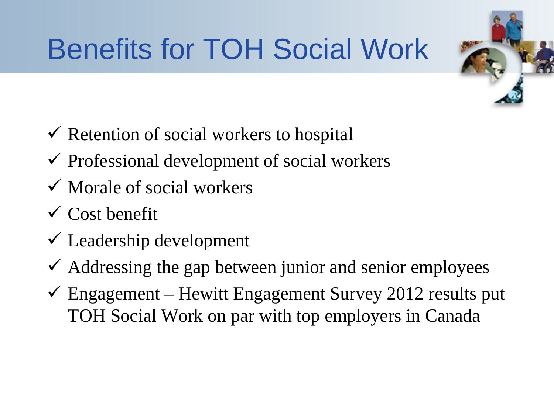# Benefits for TOH Social Work

- $\checkmark$  Retention of social workers to hospital
- $\checkmark$  Professional development of social workers
- $\checkmark$  Morale of social workers
- $\checkmark$  Cost benefit
- $\checkmark$  Leadership development
- $\checkmark$  Addressing the gap between junior and senior employees
- $\checkmark$  Engagement Hewitt Engagement Survey 2012 results put TOH Social Work on par with top employers in Canada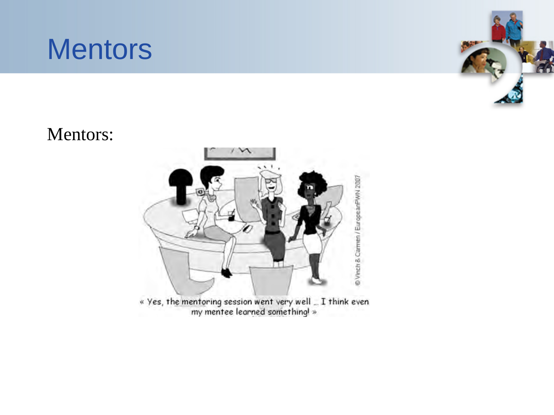



#### Mentors:

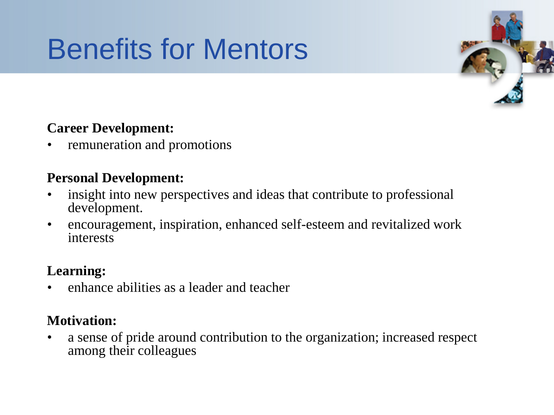## Benefits for Mentors



#### **Career Development:**

• remuneration and promotions

#### **Personal Development:**

- insight into new perspectives and ideas that contribute to professional development.
- encouragement, inspiration, enhanced self-esteem and revitalized work interests

#### **Learning:**

• enhance abilities as a leader and teacher

#### **Motivation:**

• a sense of pride around contribution to the organization; increased respect among their colleagues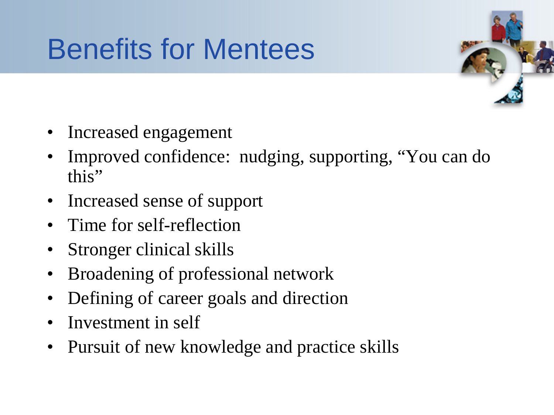### Benefits for Mentees



- Increased engagement
- Improved confidence: nudging, supporting, "You can do this"
- Increased sense of support
- Time for self-reflection
- Stronger clinical skills
- Broadening of professional network
- Defining of career goals and direction
- Investment in self
- Pursuit of new knowledge and practice skills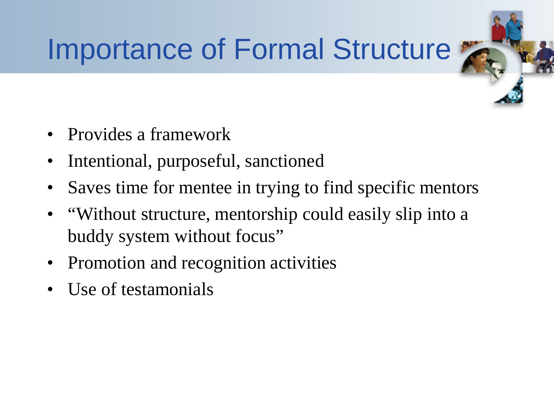## Importance of Formal Structure

- Provides a framework
- Intentional, purposeful, sanctioned
- Saves time for mentee in trying to find specific mentors
- "Without structure, mentorship could easily slip into a buddy system without focus"
- Promotion and recognition activities
- Use of testamonials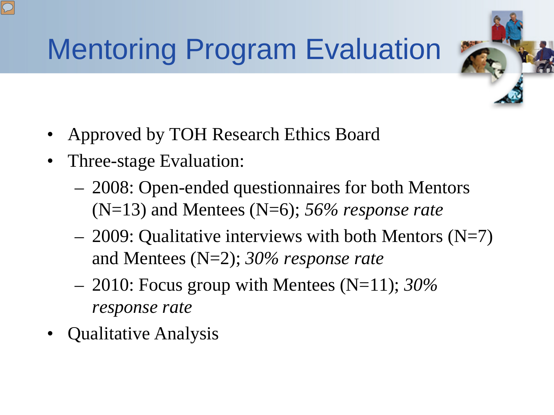## Mentoring Program Evaluation

- Approved by TOH Research Ethics Board
- Three-stage Evaluation:
	- 2008: Open-ended questionnaires for both Mentors (N=13) and Mentees (N=6); *56% response rate*
	- $-$  2009: Qualitative interviews with both Mentors (N=7) and Mentees (N=2); *30% response rate*
	- 2010: Focus group with Mentees (N=11); *30% response rate*
- Qualitative Analysis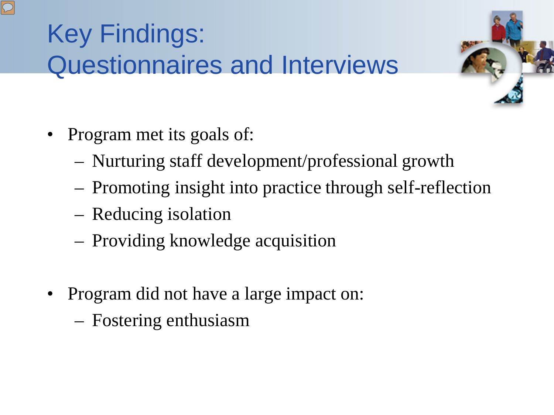#### Key Findings: Questionnaires and Interviews



- Program met its goals of:
	- Nurturing staff development/professional growth
	- Promoting insight into practice through self-reflection
	- Reducing isolation
	- Providing knowledge acquisition
- Program did not have a large impact on:
	- Fostering enthusiasm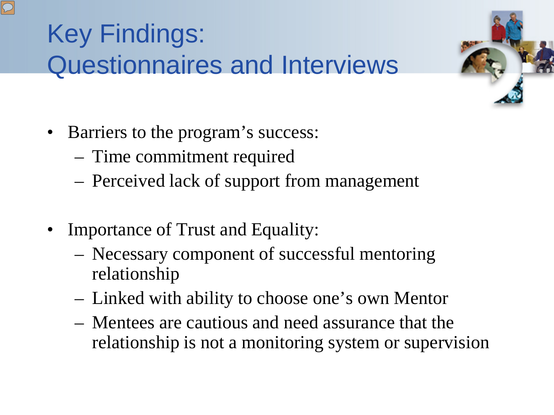#### Key Findings: Questionnaires and Interviews

- Barriers to the program's success:
	- Time commitment required
	- Perceived lack of support from management
- Importance of Trust and Equality:
	- Necessary component of successful mentoring relationship
	- Linked with ability to choose one's own Mentor
	- Mentees are cautious and need assurance that the relationship is not a monitoring system or supervision

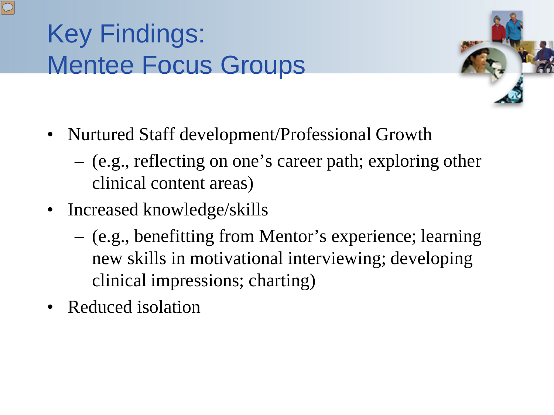#### Key Findings: Mentee Focus Groups



- Nurtured Staff development/Professional Growth
	- (e.g., reflecting on one's career path; exploring other clinical content areas)
- Increased knowledge/skills
	- (e.g., benefitting from Mentor's experience; learning new skills in motivational interviewing; developing clinical impressions; charting)
- Reduced isolation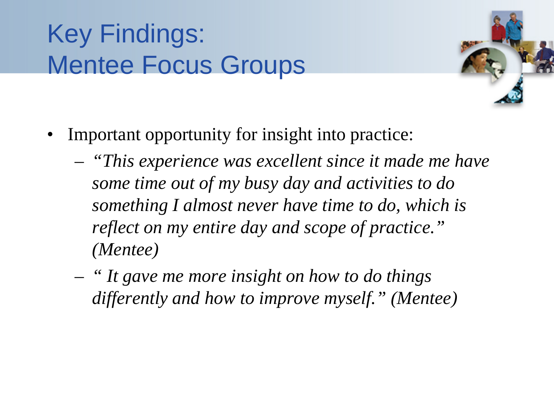#### Key Findings: Mentee Focus Groups



- Important opportunity for insight into practice:
	- *"This experience was excellent since it made me have some time out of my busy day and activities to do something I almost never have time to do, which is reflect on my entire day and scope of practice." (Mentee)*
	- *" It gave me more insight on how to do things differently and how to improve myself." (Mentee)*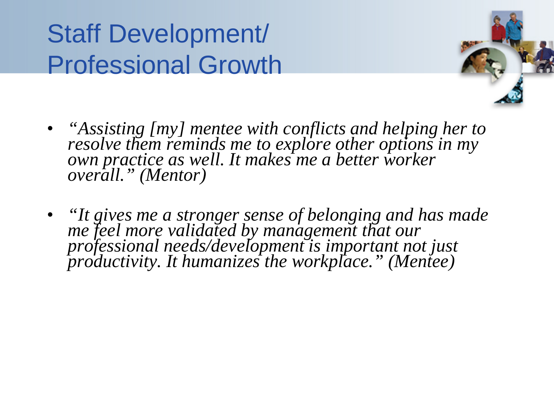#### Staff Development/ Professional Growth



- *"Assisting [my] mentee with conflicts and helping her to resolve them reminds me to explore other options in my* own practice as well. It makes me a better worker *overall." (Mentor)*
- *"It gives me a stronger sense of belonging and has made me feel more validated by management that our professional needs/development is important not just productivity. It humanizes the workplace." (Mentee)*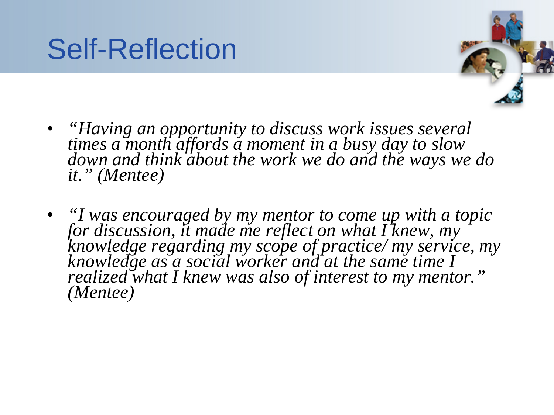



- *"Having an opportunity to discuss work issues several times a month affords a moment in a busy day to slow down and think about the work we do and the ways we do it." (Mentee)*
- *"I was encouraged by my mentor to come up with a topic for discussion, it made me reflect on what I knew, my knowledge regarding my scope of practice/ my service, my knowledge as a social worker and at the same time I realized what I knew was also of interest to my mentor." (Mentee)*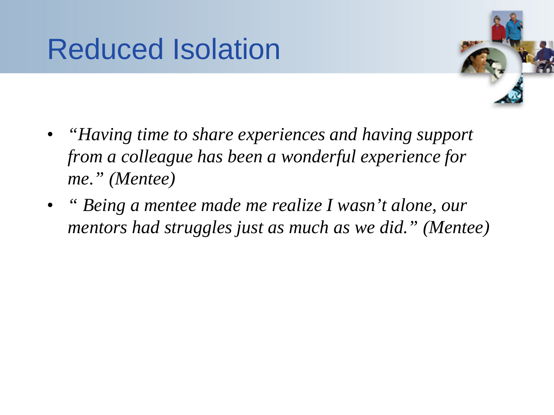#### Reduced Isolation



- *"Having time to share experiences and having support from a colleague has been a wonderful experience for me." (Mentee)*
- *" Being a mentee made me realize I wasn't alone, our mentors had struggles just as much as we did." (Mentee)*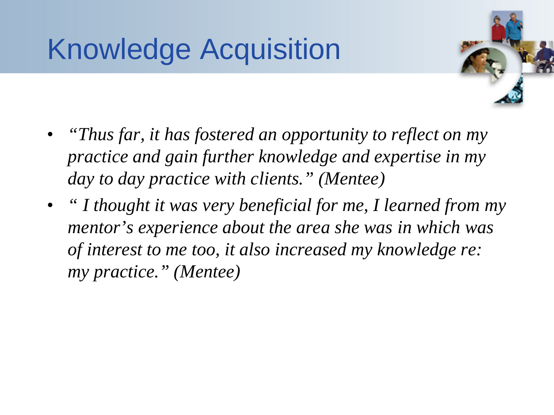## Knowledge Acquisition

- 
- *"Thus far, it has fostered an opportunity to reflect on my practice and gain further knowledge and expertise in my day to day practice with clients." (Mentee)*
- *" I thought it was very beneficial for me, I learned from my mentor's experience about the area she was in which was of interest to me too, it also increased my knowledge re: my practice." (Mentee)*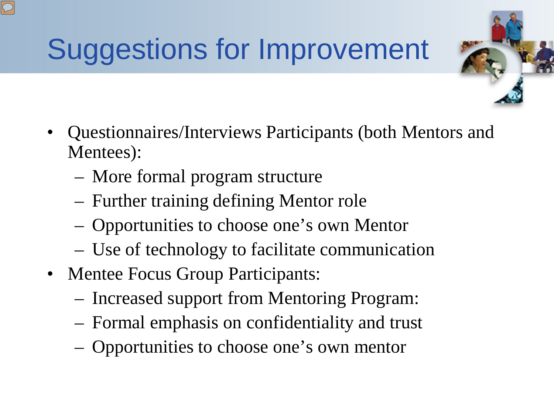# Suggestions for Improvement

- Questionnaires/Interviews Participants (both Mentors and Mentees):
	- More formal program structure
	- Further training defining Mentor role
	- Opportunities to choose one's own Mentor
	- Use of technology to facilitate communication
- Mentee Focus Group Participants:
	- Increased support from Mentoring Program:
	- Formal emphasis on confidentiality and trust
	- Opportunities to choose one's own mentor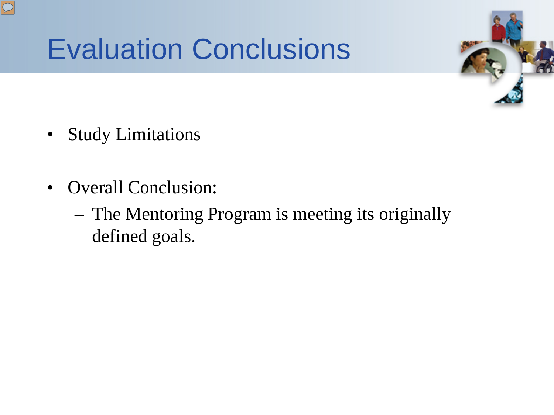#### Evaluation Conclusions



- Study Limitations
- Overall Conclusion:
	- The Mentoring Program is meeting its originally defined goals.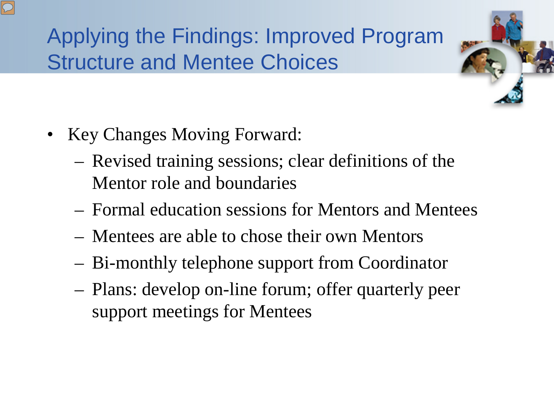#### Applying the Findings: Improved Program Structure and Mentee Choices

- Key Changes Moving Forward:
	- Revised training sessions; clear definitions of the Mentor role and boundaries
	- Formal education sessions for Mentors and Mentees
	- Mentees are able to chose their own Mentors
	- Bi-monthly telephone support from Coordinator
	- Plans: develop on-line forum; offer quarterly peer support meetings for Mentees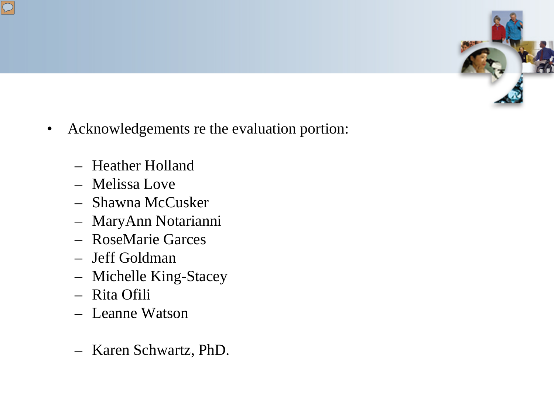

- Acknowledgements re the evaluation portion:
	- Heather Holland
	- Melissa Love
	- Shawna McCusker
	- MaryAnn Notarianni
	- RoseMarie Garces
	- Jeff Goldman
	- Michelle King-Stacey
	- Rita Ofili
	- Leanne Watson
	- Karen Schwartz, PhD.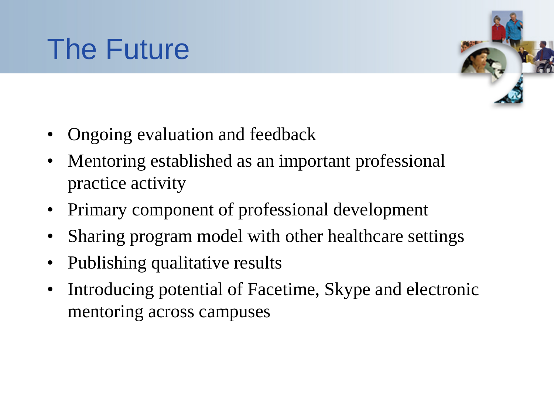## The Future



- Ongoing evaluation and feedback
- Mentoring established as an important professional practice activity
- Primary component of professional development
- Sharing program model with other healthcare settings
- Publishing qualitative results
- Introducing potential of Facetime, Skype and electronic mentoring across campuses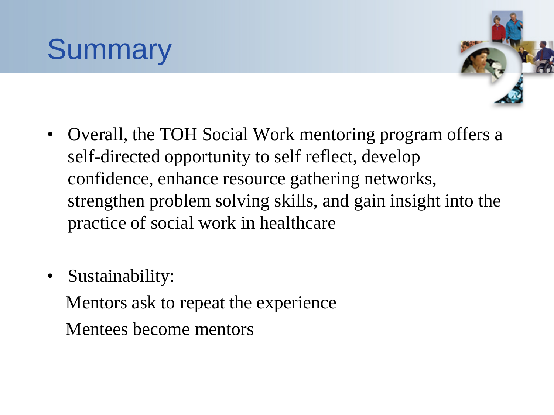## **Summary**



- Overall, the TOH Social Work mentoring program offers a self-directed opportunity to self reflect, develop confidence, enhance resource gathering networks, strengthen problem solving skills, and gain insight into the practice of social work in healthcare
- Sustainability:

 Mentors ask to repeat the experience Mentees become mentors